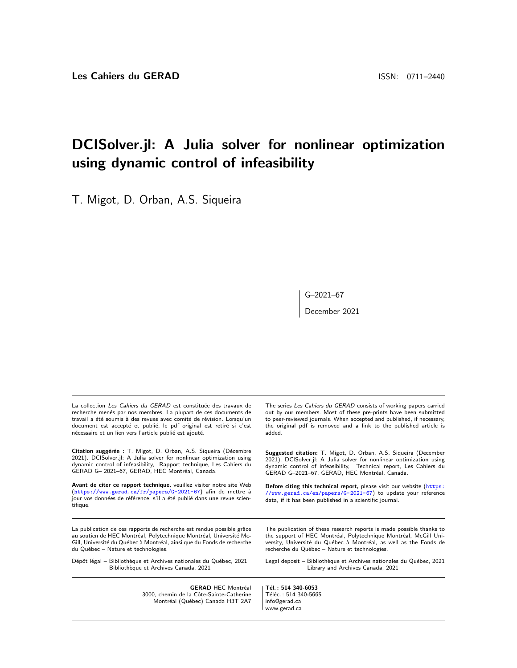## DCISolver.jl: A Julia solver for nonlinear optimization using dynamic control of infeasibility

T. Migot, D. Orban, A.S. Siqueira

G–2021–67

December 2021

La collection Les Cahiers du GERAD est constituée des travaux de recherche menés par nos membres. La plupart de ces documents de travail a été soumis à des revues avec comité de révision. Lorsqu'un document est accepté et publié, le pdf original est retiré si c'est nécessaire et un lien vers l'article publié est ajouté.

Citation suggérée : T. Migot, D. Orban, A.S. Siqueira (Décembre 2021). DCISolver.jl: A Julia solver for nonlinear optimization using dynamic control of infeasibility, Rapport technique, Les Cahiers du GERAD G- 2021-67, GERAD, HEC Montréal, Canada.

Avant de citer ce rapport technique, veuillez visiter notre site Web (<https://www.gerad.ca/fr/papers/G-2021-67>) afin de mettre à jour vos données de référence, s'il a été publié dans une revue scientifique.

La publication de ces rapports de recherche est rendue possible grâce au soutien de HEC Montréal, Polytechnique Montréal, Université Mc-Gill, Université du Québec à Montréal, ainsi que du Fonds de recherche du Québec - Nature et technologies.

Dépôt légal – Bibliothèque et Archives nationales du Québec, 2021 – Biblioth`eque et Archives Canada, 2021

The series Les Cahiers du GERAD consists of working papers carried out by our members. Most of these pre-prints have been submitted to peer-reviewed journals. When accepted and published, if necessary, the original pdf is removed and a link to the published article is added.

Suggested citation: T. Migot, D. Orban, A.S. Siqueira (December 2021). DCISolver.jl: A Julia solver for nonlinear optimization using dynamic control of infeasibility, Technical report, Les Cahiers du GERAD G-2021-67, GERAD, HEC Montréal, Canada.

Before citing this technical report, please visit our website ([https:](https://www.gerad.ca/en/papers/G-2021-67) [//www.gerad.ca/en/papers/G-2021-67](https://www.gerad.ca/en/papers/G-2021-67)) to update your reference data, if it has been published in a scientific journal.

The publication of these research reports is made possible thanks to the support of HEC Montréal, Polytechnique Montréal, McGill University, Université du Québec à Montréal, as well as the Fonds de recherche du Québec - Nature et technologies.

Legal deposit - Bibliothèque et Archives nationales du Québec, 2021 – Library and Archives Canada, 2021

**GERAD HEC Montréal** 3000, chemin de la Côte-Sainte-Catherine Montréal (Québec) Canada H3T 2A7

Tél.: 514 340-6053 Téléc.: 514 340-5665 info@gerad.ca www.gerad.ca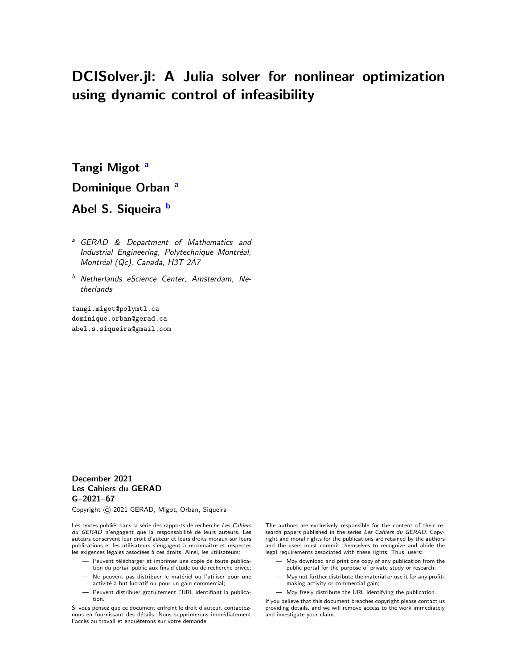# DCISolver.jl: A Julia solver for nonlinear optimization using dynamic control of infeasibility

T[a](#page-1-0)ngi Migot<sup>a</sup> Dominique Orb[a](#page-1-0)n<sup>a</sup> A[b](#page-1-1)el S. Siqueira b

<span id="page-1-0"></span><sup>a</sup> GERAD & Department of Mathematics and Industrial Engineering, Polytechnique Montréal, Montréal (Qc), Canada, H3T 2A7

<span id="page-1-1"></span>b Netherlands eScience Center, Amsterdam, Netherlands

tangi.migot@polymtl.ca dominique.orban@gerad.ca abel.s.siqueira@gmail.com

#### December 2021 Les Cahiers du GERAD G–2021–67

Copyright © 2021 GERAD, Migot, Orban, Siqueira

Les textes publiés dans la série des rapports de recherche Les Cahiers du GERAD n'engagent que la responsabilité de leurs auteurs. Les auteurs conservent leur droit d'auteur et leurs droits moraux sur leurs publications et les utilisateurs s'engagent à reconnaître et respecter les exigences légales associées à ces droits. Ainsi, les utilisateurs:

- Peuvent télécharger et imprimer une copie de toute publication du portail public aux fins d'étude ou de recherche privée;
- Ne peuvent pas distribuer le matériel ou l'utiliser pour une activité à but lucratif ou pour un gain commercial;
- Peuvent distribuer gratuitement l'URL identifiant la publication.

Si vous pensez que ce document enfreint le droit d'auteur, contacteznous en fournissant des détails. Nous supprimerons immédiatement l'accès au travail et enquêterons sur votre demande.

The authors are exclusively responsible for the content of their research papers published in the series Les Cahiers du GERAD. Copyright and moral rights for the publications are retained by the authors and the users must commit themselves to recognize and abide the legal requirements associated with these rights. Thus, users:

- May download and print one copy of any publication from the public portal for the purpose of private study or research;
- May not further distribute the material or use it for any profitmaking activity or commercial gain;
- May freely distribute the URL identifying the publication.

If you believe that this document breaches copyright please contact us providing details, and we will remove access to the work immediately and investigate your claim.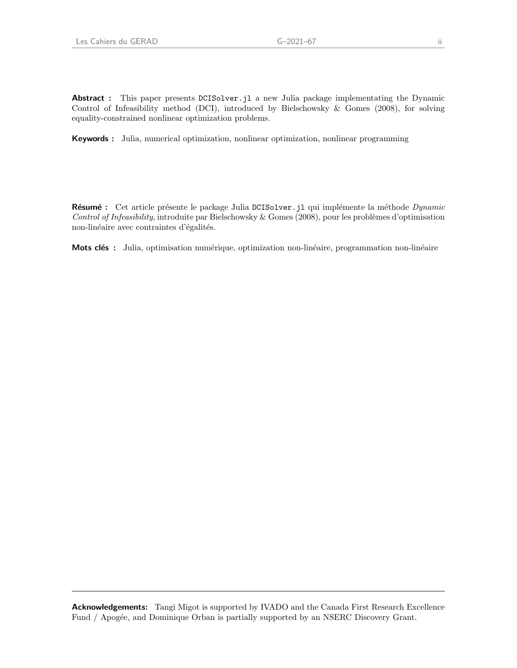Abstract : This paper presents DCISolver. jl a new Julia package implementating the Dynamic Control of Infeasibility method (DCI), introduced by Bielschowsky & Gomes (2008), for solving equality-constrained nonlinear optimization problems.

Keywords : Julia, numerical optimization, nonlinear optimization, nonlinear programming

Résumé : Cet article présente le package Julia DCISolver. j1 qui implémente la méthode Dynamic Control of Infeasibility, introduite par Bielschowsky & Gomes (2008), pour les problèmes d'optimisation non-linéaire avec contraintes d'égalités.

Mots clés : Julia, optimisation numérique, optimization non-linéaire, programmation non-linéaire

Acknowledgements: Tangi Migot is supported by IVADO and the Canada First Research Excellence Fund / Apogée, and Dominique Orban is partially supported by an NSERC Discovery Grant.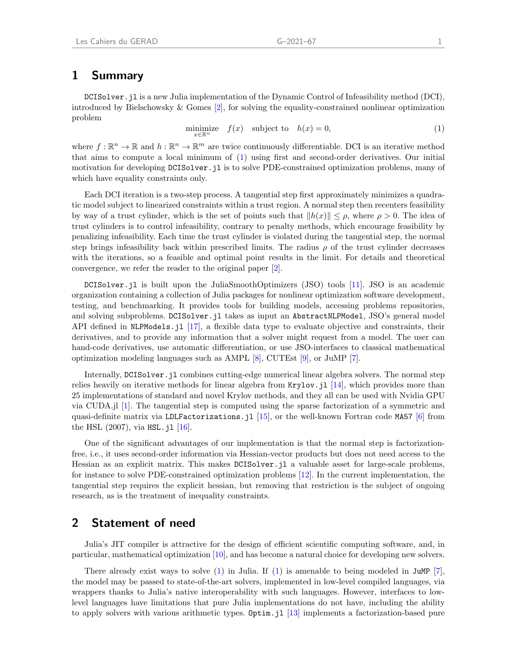#### 1 Summary

DCISolver.jl is a new Julia implementation of the Dynamic Control of Infeasibility method (DCI), introduced by Bielschowsky & Gomes [\[2\]](#page-4-0), for solving the equality-constrained nonlinear optimization problem

<span id="page-3-0"></span>
$$
\underset{x \in \mathbb{R}^n}{\text{minimize}} \quad f(x) \quad \text{subject to} \quad h(x) = 0,\tag{1}
$$

where  $f : \mathbb{R}^n \to \mathbb{R}$  and  $h : \mathbb{R}^n \to \mathbb{R}^m$  are twice continuously differentiable. DCI is an iterative method that aims to compute a local minimum of [\(1\)](#page-3-0) using first and second-order derivatives. Our initial motivation for developing DCISolver. il is to solve PDE-constrained optimization problems, many of which have equality constraints only.

Each DCI iteration is a two-step process. A tangential step first approximately minimizes a quadratic model subject to linearized constraints within a trust region. A normal step then recenters feasibility by way of a trust cylinder, which is the set of points such that  $||h(x)|| \leq \rho$ , where  $\rho > 0$ . The idea of trust cylinders is to control infeasibility, contrary to penalty methods, which encourage feasibility by penalizing infeasibility. Each time the trust cylinder is violated during the tangential step, the normal step brings infeasibility back within prescribed limits. The radius  $\rho$  of the trust cylinder decreases with the iterations, so a feasible and optimal point results in the limit. For details and theoretical convergence, we refer the reader to the original paper [\[2\]](#page-4-0).

DCISolver.jl is built upon the JuliaSmoothOptimizers (JSO) tools [\[11\]](#page-5-0). JSO is an academic organization containing a collection of Julia packages for nonlinear optimization software development, testing, and benchmarking. It provides tools for building models, accessing problems repositories, and solving subproblems. DCISolver.jl takes as input an AbstractNLPModel, JSO's general model API defined in NLPModels. jl [\[17\]](#page-5-1), a flexible data type to evaluate objective and constraints, their derivatives, and to provide any information that a solver might request from a model. The user can hand-code derivatives, use automatic differentiation, or use JSO-interfaces to classical mathematical optimization modeling languages such as AMPL [\[8\]](#page-5-2), CUTEst [\[9\]](#page-5-3), or JuMP [\[7\]](#page-5-4).

Internally, DCISolver.jl combines cutting-edge numerical linear algebra solvers. The normal step relies heavily on iterative methods for linear algebra from Krylov.jl [\[14\]](#page-5-5), which provides more than 25 implementations of standard and novel Krylov methods, and they all can be used with Nvidia GPU via CUDA.jl [\[1\]](#page-4-1). The tangential step is computed using the sparse factorization of a symmetric and quasi-definite matrix via LDLFactorizations.jl [\[15\]](#page-5-6), or the well-known Fortran code MA57 [\[6\]](#page-5-7) from the HSL  $(2007)$ , via HSL. j1  $[16]$ .

One of the significant advantages of our implementation is that the normal step is factorizationfree, i.e., it uses second-order information via Hessian-vector products but does not need access to the Hessian as an explicit matrix. This makes DCISolver.jl a valuable asset for large-scale problems, for instance to solve PDE-constrained optimization problems [\[12\]](#page-5-9). In the current implementation, the tangential step requires the explicit hessian, but removing that restriction is the subject of ongoing research, as is the treatment of inequality constraints.

#### 2 Statement of need

Julia's JIT compiler is attractive for the design of efficient scientific computing software, and, in particular, mathematical optimization [\[10\]](#page-5-10), and has become a natural choice for developing new solvers.

There already exist ways to solve  $(1)$  in Julia. If  $(1)$  is amenable to being modeled in JuMP  $[7]$ , the model may be passed to state-of-the-art solvers, implemented in low-level compiled languages, via wrappers thanks to Julia's native interoperability with such languages. However, interfaces to lowlevel languages have limitations that pure Julia implementations do not have, including the ability to apply solvers with various arithmetic types. Optim.jl [\[13\]](#page-5-11) implements a factorization-based pure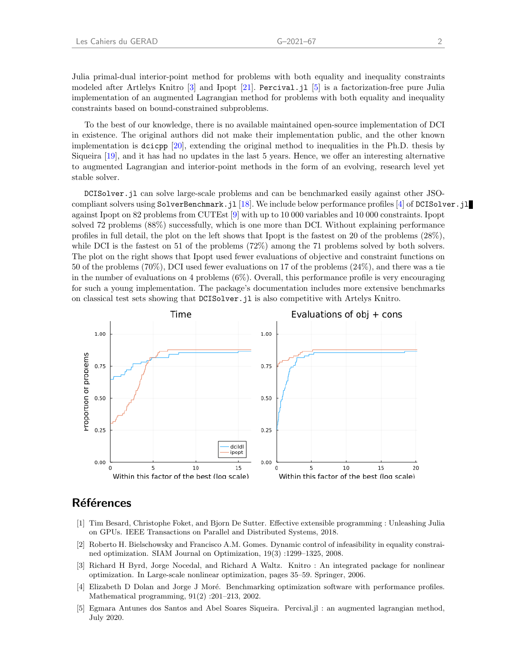Julia primal-dual interior-point method for problems with both equality and inequality constraints modeled after Artlelys Knitro [\[3\]](#page-4-2) and Ipopt [\[21\]](#page-5-12). Percival.jl [\[5\]](#page-4-3) is a factorization-free pure Julia implementation of an augmented Lagrangian method for problems with both equality and inequality constraints based on bound-constrained subproblems.

To the best of our knowledge, there is no available maintained open-source implementation of DCI in existence. The original authors did not make their implementation public, and the other known implementation is dcicpp [\[20\]](#page-5-13), extending the original method to inequalities in the Ph.D. thesis by Siqueira [\[19\]](#page-5-14), and it has had no updates in the last 5 years. Hence, we offer an interesting alternative to augmented Lagrangian and interior-point methods in the form of an evolving, research level yet stable solver.

DCISolver.jl can solve large-scale problems and can be benchmarked easily against other JSOcompliant solvers using SolverBenchmark.jl [\[18\]](#page-5-15). We include below performance profiles [\[4\]](#page-4-4) of DCISolver.jl against Ipopt on 82 problems from CUTEst [\[9\]](#page-5-3) with up to 10 000 variables and 10 000 constraints. Ipopt solved 72 problems (88%) successfully, which is one more than DCI. Without explaining performance profiles in full detail, the plot on the left shows that Ipopt is the fastest on 20 of the problems (28%), while DCI is the fastest on 51 of the problems (72%) among the 71 problems solved by both solvers. The plot on the right shows that Ipopt used fewer evaluations of objective and constraint functions on 50 of the problems (70%), DCI used fewer evaluations on 17 of the problems (24%), and there was a tie in the number of evaluations on 4 problems (6%). Overall, this performance profile is very encouraging for such a young implementation. The package's documentation includes more extensive benchmarks on classical test sets showing that DCISolver.jl is also competitive with Artelys Knitro.



### **Références**

- <span id="page-4-1"></span>[1] Tim Besard, Christophe Foket, and Bjorn De Sutter. Effective extensible programming : Unleashing Julia on GPUs. IEEE Transactions on Parallel and Distributed Systems, 2018.
- <span id="page-4-0"></span>[2] Roberto H. Bielschowsky and Francisco A.M. Gomes. Dynamic control of infeasibility in equality constrained optimization. SIAM Journal on Optimization, 19(3) :1299–1325, 2008.
- <span id="page-4-2"></span>[3] Richard H Byrd, Jorge Nocedal, and Richard A Waltz. Knitro : An integrated package for nonlinear optimization. In Large-scale nonlinear optimization, pages 35–59. Springer, 2006.
- <span id="page-4-4"></span>[4] Elizabeth D Dolan and Jorge J Moré. Benchmarking optimization software with performance profiles. Mathematical programming, 91(2) :201–213, 2002.
- <span id="page-4-3"></span>[5] Egmara Antunes dos Santos and Abel Soares Siqueira. Percival.jl : an augmented lagrangian method, July 2020.